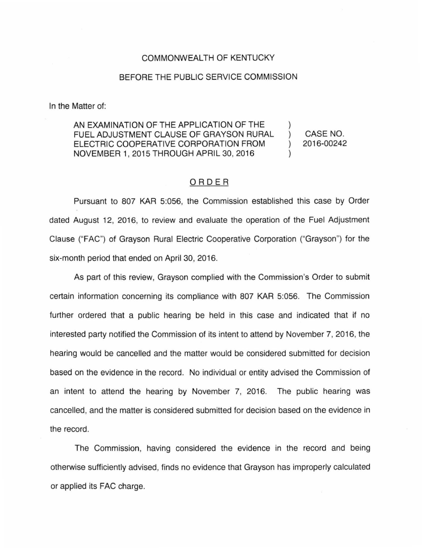## COMMONWEALTH OF KENTUCKY

## BEFORE THE PUBLIC SERVICE COMMISSION

In the Matter of:

AN EXAMINATION OF THE APPLICATION OF THE FUEL ADJUSTMENT CLAUSE OF GRAYSON RURAL  $\lambda$ ELECTRIC COOPERATIVE CORPORATION FROM  $\lambda$ NOVEMBER 1, 2015 THROUGH APRIL 30, 2016  $\mathcal{E}$ 

CASE NO. 2016-00242

## ORDER

Pursuant to 807 KAR 5:056, the Commission established this case by Order dated August 12, 2016, to review and evaluate the operation of the Fuel Adjustment Clause ("FAC") of Grayson Rural Electric Cooperative Corporation ("Grayson") for the six-month period that ended on April 30, 2016.

As part of this review, Grayson complied with the Commission's Order to submit certain information concerning its compliance with 807 KAR 5:056. The Commission further ordered that a public hearing be held in this case and indicated that if no interested party notified the Commission of its intent to attend by November 7, 2016, the hearing would be cancelled and the matter would be considered submitted for decision based on the evidence in the record. No individual or entity advised the Commission of an intent to attend the hearing by November 7, 2016. The public hearing was cancelled, and the matter is considered submitted for decision based on the evidence in the record.

The Commission, having considered the evidence in the record and being otherwise sufficiently advised, finds no evidence that Grayson has improperly calculated or applied its FAC charge.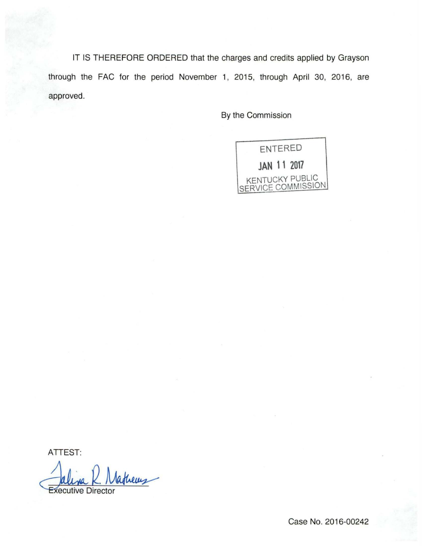IT IS THEREFORE ORDERED that the charges and credits applied by Grayson through the FAC for the period November 1, 2015, through April 30, 2016, are approved.

By the Commission



ATTEST:

Executive Director Mathems

Case No. 2016-00242